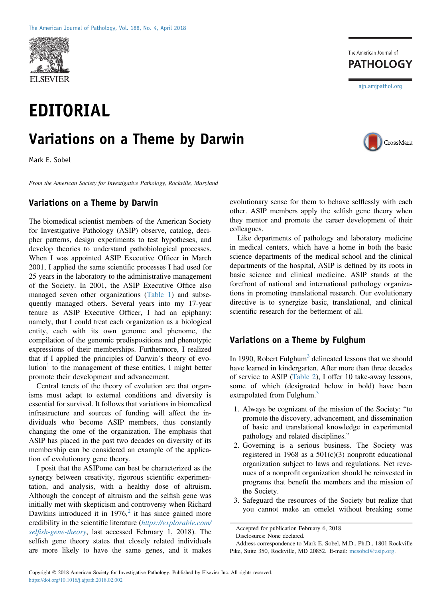

## **EDITORIAL** editoriale<br>...

Variations on a Theme by Darwin and Darwin and Darwin and Darwin and Darwin and Darwin and Darwin and Darwin a<br>Mark E. Sabal Mark E. Sobel

From the American Society for Investigative Pathology, Rockville, Maryland

## Variations on a Theme by Darwin

The biomedical scientist members of the American Society for Investigative Pathology (ASIP) observe, catalog, decipher patterns, design experiments to test hypotheses, and develop theories to understand pathobiological processes. When I was appointed ASIP Executive Officer in March 2001, I applied the same scientific processes I had used for 25 years in the laboratory to the administrative management of the Society. In 2001, the ASIP Executive Office also managed seven other organizations [\(Table 1](#page-1-0)) and subsequently managed others. Several years into my 17-year tenure as ASIP Executive Officer, I had an epiphany: namely, that I could treat each organization as a biological entity, each with its own genome and phenome, the compilation of the genomic predispositions and phenotypic expressions of their memberships. Furthermore, I realized that if I applied the principles of Darwin's theory of evo-lution<sup>[1](#page-1-1)</sup> to the management of these entities, I might better promote their development and advancement.

Central tenets of the theory of evolution are that organisms must adapt to external conditions and diversity is essential for survival. It follows that variations in biomedical infrastructure and sources of funding will affect the individuals who become ASIP members, thus constantly changing the ome of the organization. The emphasis that ASIP has placed in the past two decades on diversity of its membership can be considered an example of the application of evolutionary gene theory.

I posit that the ASIPome can best be characterized as the synergy between creativity, rigorous scientific experimentation, and analysis, with a healthy dose of altruism. Although the concept of altruism and the selfish gene was initially met with skepticism and controversy when Richard Dawkins introduced it in  $1976$ ,<sup>[2](#page-1-2)</sup> it has since gained more credibility in the scientific literature ([https://explorable.com/](https://explorable.com/selfish-gene-theory) selfi[sh-gene-theory](https://explorable.com/selfish-gene-theory), last accessed February 1, 2018). The selfish gene theory states that closely related individuals are more likely to have the same genes, and it makes

evolutionary sense for them to behave selflessly with each other. ASIP members apply the selfish gene theory when they mentor and promote the career development of their colleagues.

Like departments of pathology and laboratory medicine in medical centers, which have a home in both the basic science departments of the medical school and the clinical departments of the hospital, ASIP is defined by its roots in basic science and clinical medicine. ASIP stands at the forefront of national and international pathology organizations in promoting translational research. Our evolutionary directive is to synergize basic, translational, and clinical scientific research for the betterment of all.

## Variations on a Theme by Fulghum

In 1990, Robert Fulghum<sup>[3](#page-1-3)</sup> delineated lessons that we should have learned in kindergarten. After more than three decades of service to ASIP ([Table 2\)](#page-1-4), I offer 10 take-away lessons, some of which (designated below in bold) have been extrapolated from Fulghum.<sup>[3](#page-1-3)</sup>

- 1. Always be cognizant of the mission of the Society: "to promote the discovery, advancement, and dissemination of basic and translational knowledge in experimental pathology and related disciplines."
- 2. Governing is a serious business. The Society was registered in 1968 as a  $501(c)(3)$  nonprofit educational organization subject to laws and regulations. Net revenues of a nonprofit organization should be reinvested in programs that benefit the members and the mission of the Society.
- 3. Safeguard the resources of the Society but realize that you cannot make an omelet without breaking some

Accepted for publication February 6, 2018.

Disclosures: None declared.

Address correspondence to Mark E. Sobel, M.D., Ph.D., 1801 Rockville Pike, Suite 350, Rockville, MD 20852. E-mail: [mesobel@asip.org](mailto:mesobel@asip.org).



The American Journal of **PATHOLOGY** [ajp.amjpathol.org](http://ajp.amjpathol.org)